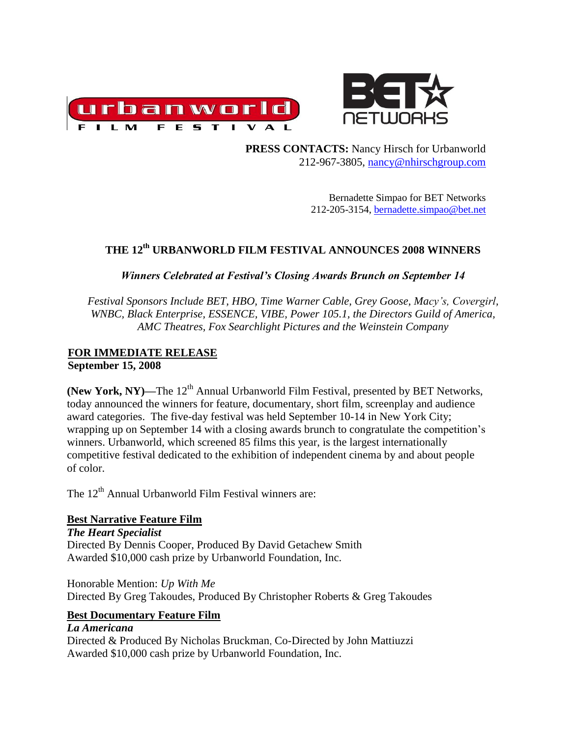



 **PRESS CONTACTS:** Nancy Hirsch for Urbanworld 212-967-3805, [nancy@nhirschgroup.com](mailto:nancy@nhirschgroup.com)

> Bernadette Simpao for BET Networks 212-205-3154, [bernadette.simpao@bet.net](mailto:bernadette.simpao@bet.net)

# **THE 12th URBANWORLD FILM FESTIVAL ANNOUNCES 2008 WINNERS**

# *Winners Celebrated at Festival's Closing Awards Brunch on September 14*

*Festival Sponsors Include BET, HBO, Time Warner Cable, Grey Goose, Macy's, Covergirl, WNBC, Black Enterprise, ESSENCE, VIBE, Power 105.1, the Directors Guild of America, AMC Theatres, Fox Searchlight Pictures and the Weinstein Company*

## **FOR IMMEDIATE RELEASE September 15, 2008**

**(New York, NY)—The 12<sup>th</sup> Annual Urbanworld Film Festival, presented by BET Networks,** today announced the winners for feature, documentary, short film, screenplay and audience award categories. The five-day festival was held September 10-14 in New York City; wrapping up on September 14 with a closing awards brunch to congratulate the competition's winners. Urbanworld, which screened 85 films this year, is the largest internationally competitive festival dedicated to the exhibition of independent cinema by and about people of color.

The  $12<sup>th</sup>$  Annual Urbanworld Film Festival winners are:

# **Best Narrative Feature Film**

*The Heart Specialist* Directed By Dennis Cooper, Produced By David Getachew Smith Awarded \$10,000 cash prize by Urbanworld Foundation, Inc.

Honorable Mention: *Up With Me* Directed By Greg Takoudes, Produced By Christopher Roberts & Greg Takoudes

# **Best Documentary Feature Film**

# *La Americana*

Directed & Produced By Nicholas Bruckman, Co-Directed by John Mattiuzzi Awarded \$10,000 cash prize by Urbanworld Foundation, Inc.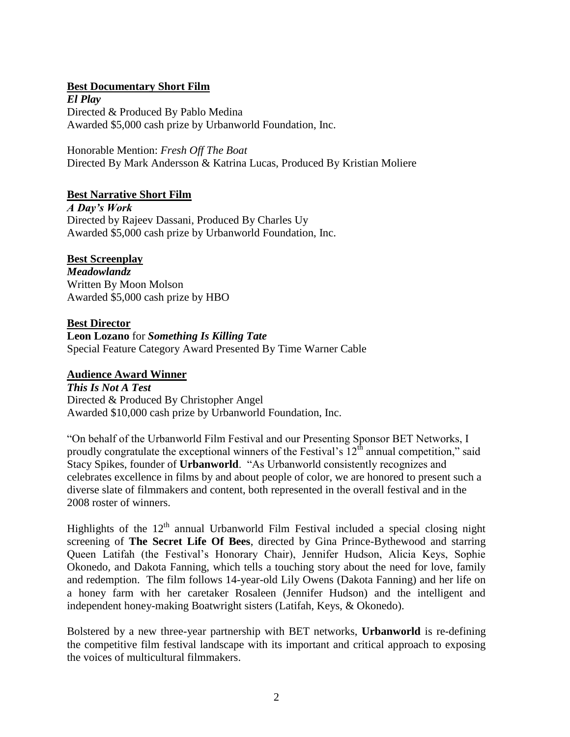## **Best Documentary Short Film**

*El Play* Directed & Produced By Pablo Medina Awarded \$5,000 cash prize by Urbanworld Foundation, Inc.

Honorable Mention: *Fresh Off The Boat* Directed By Mark Andersson & Katrina Lucas, Produced By Kristian Moliere

#### **Best Narrative Short Film**

*A Day's Work* Directed by Rajeev Dassani, Produced By Charles Uy Awarded \$5,000 cash prize by Urbanworld Foundation, Inc.

#### **Best Screenplay**

*Meadowlandz* Written By Moon Molson Awarded \$5,000 cash prize by HBO

#### **Best Director**

**Leon Lozano** for *Something Is Killing Tate* Special Feature Category Award Presented By Time Warner Cable

#### **Audience Award Winner**

*This Is Not A Test* Directed & Produced By Christopher Angel Awarded \$10,000 cash prize by Urbanworld Foundation, Inc.

"On behalf of the Urbanworld Film Festival and our Presenting Sponsor BET Networks, I proudly congratulate the exceptional winners of the Festival's  $12<sup>th</sup>$  annual competition," said Stacy Spikes, founder of **Urbanworld**. "As Urbanworld consistently recognizes and celebrates excellence in films by and about people of color, we are honored to present such a diverse slate of filmmakers and content, both represented in the overall festival and in the 2008 roster of winners.

Highlights of the  $12<sup>th</sup>$  annual Urbanworld Film Festival included a special closing night screening of **The Secret Life Of Bees**, directed by Gina Prince-Bythewood and starring Queen Latifah (the Festival's Honorary Chair), Jennifer Hudson, Alicia Keys, Sophie Okonedo, and Dakota Fanning, which tells a touching story about the need for love, family and redemption. The film follows 14-year-old Lily Owens (Dakota Fanning) and her life on a honey farm with her caretaker Rosaleen (Jennifer Hudson) and the intelligent and independent honey-making Boatwright sisters (Latifah, Keys, & Okonedo).

Bolstered by a new three-year partnership with BET networks, **Urbanworld** is re-defining the competitive film festival landscape with its important and critical approach to exposing the voices of multicultural filmmakers.